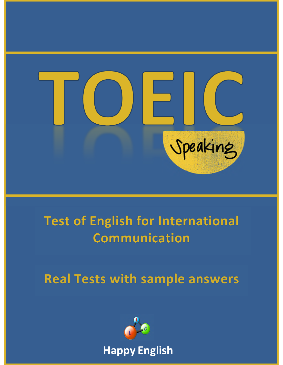

# **Test of English for International Communication**

**Real Tests with sample answers** 

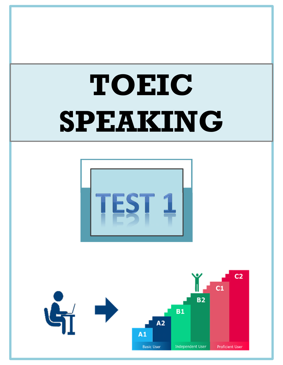# **TOEIC SPEAKING**



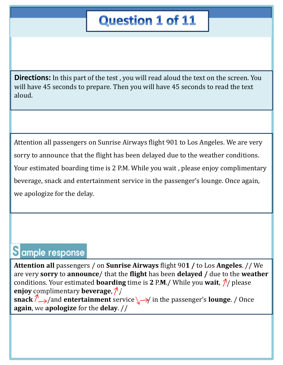# **Question 1 of 11**

**Directions:** In this part of the test, you will read aloud the text on the screen. You will have 45 seconds to prepare. Then you will have 45 seconds to read the text aloud.

Attention all passengers on Sunrise Airways flight 901 to Los Angeles. We are very sorry to announce that the flight has been delayed due to the weather conditions. Your estimated boarding time is 2 P.M. While you wait , please enjoy complimentary beverage, snack and entertainment service in the passenger's lounge. Once again, we apologize for the delay.

## Sample response

**Attention all** passengers / on **Sunrise Airways** flight 90**1 /** to Los **Angeles**. // We are very **sorry** to **announce**/ that the **flight** has been **delayed /** due to the **weather** conditions. Your estimated **boarding** time is 2 P.M./ While you wait,  $\frac{\mathcal{N}}{\mathcal{N}}$  please **enjoy** complimentary **beverage**,  $\frac{\lambda}{\lambda}$ 

**snack**  $\sqrt[3]{\rightarrow}$  /and **entertainment** service  $\sqrt{\rightarrow}$  in the passenger's **lounge**. / Once **again**, we **apologize** for the **delay**. //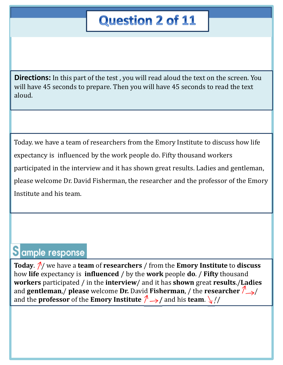# **Question 2 of 11**

**Directions:** In this part of the test, you will read aloud the text on the screen. You will have 45 seconds to prepare. Then you will have 45 seconds to read the text aloud.

Today. we have a team of researchers from the Emory Institute to discuss how life expectancy is influenced by the work people do. Fifty thousand workers participated in the interview and it has shown great results. Ladies and gentleman, please welcome Dr. David Fisherman, the researcher and the professor of the Emory Institute and his team.

## Sample response

**Today.**  $\frac{\gamma}{\gamma}$  we have a **team** of **researchers** / from the **Emory Institute** to **discuss** how **life** expectancy is **influenced** / by the **work** people **do**. / **Fifty** thousand **workers** participated / in the **interview**/ and it has **shown** great **results**./**Ladies** and **gentleman**,/ **please** welcome **Dr.** David **Fisherman**, / the **researcher** / and the **professor** of the **Emory Institute**  $\sqrt{\frac{4}{2}}$  and his **team**.  $\sqrt{\frac{4}{5}}$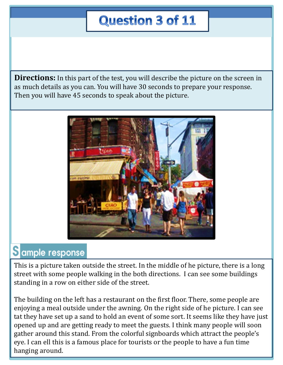# **Question 3 of 11**

**Directions:** In this part of the test, you will describe the picture on the screen in as much details as you can. You will have 30 seconds to prepare your response. Then you will have 45 seconds to speak about the picture.



## Sample response

This is a picture taken outside the street. In the middle of he picture, there is a long street with some people walking in the both directions. I can see some buildings standing in a row on either side of the street.

The building on the left has a restaurant on the first floor. There, some people are enjoying a meal outside under the awning. On the right side of he picture. I can see tat they have set up a sand to hold an event of some sort. It seems like they have just opened up and are getting ready to meet the guests. I think many people will soon gather around this stand. From the colorful signboards which attract the people's eye. I can ell this is a famous place for tourists or the people to have a fun time hanging around.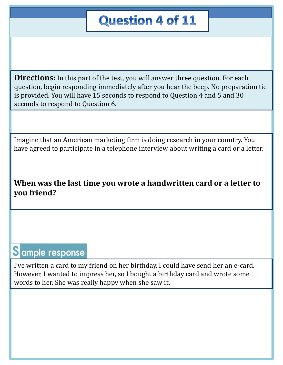# **Question 4 of 11**

**Directions:** In this part of the test, you will answer three question. For each question, begin responding immediately after you hear the beep. No preparation tie is provided. You will have 15 seconds to respond to Question 4 and 5 and 30 seconds to respond to Question 6.

Imagine that an American marketing firm is doing research in your country. You have agreed to participate in a telephone interview about writing a card or a letter.

#### **When was the last time you wrote a handwritten card or a letter to you friend?**

### Sample response

I've written a card to my friend on her birthday. I could have send her an e-card. However, I wanted to impress her, so I bought a birthday card and wrote some words to her. She was really happy when she saw it.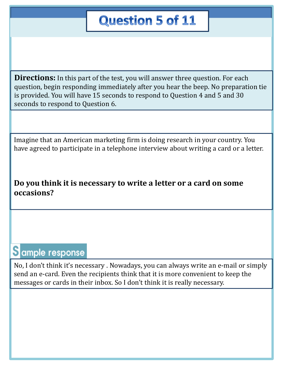# **Question 5 of 11**

**Directions:** In this part of the test, you will answer three question. For each question, begin responding immediately after you hear the beep. No preparation tie is provided. You will have 15 seconds to respond to Question 4 and 5 and 30 seconds to respond to Question 6.

Imagine that an American marketing firm is doing research in your country. You have agreed to participate in a telephone interview about writing a card or a letter.

#### **Do you think it is necessary to write a letter or a card on some occasions?**

## Sample response

No, I don't think it's necessary . Nowadays, you can always write an e-mail or simply send an e-card. Even the recipients think that it is more convenient to keep the messages or cards in their inbox. So I don't think it is really necessary.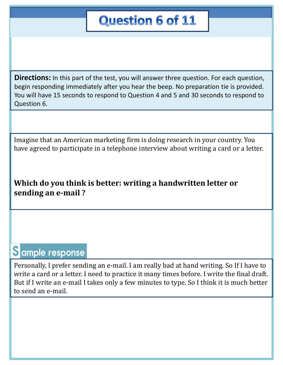# **Question 6 of 11**

**Directions:** In this part of the test, you will answer three question. For each question, begin responding immediately after you hear the beep. No preparation tie is provided. You will have 15 seconds to respond to Question 4 and 5 and 30 seconds to respond to Question 6.

Imagine that an American marketing firm is doing research in your country. You have agreed to participate in a telephone interview about writing a card or a letter.

#### **Which do you think is better: writing a handwritten letter or sending an e-mail ?**

### Sample response

Personally, I prefer sending an e-mail. I am really bad at hand writing. So If I have to write a card or a letter. I need to practice it many times before. I write the final draft. But if I write an e-mail I takes only a few minutes to type. So I think it is much better to send an e-mail.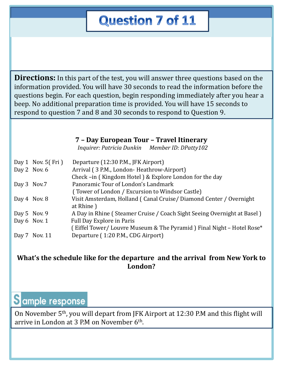# **Question 7 of 11**

**Directions:** In this part of the test, you will answer three questions based on the information provided. You will have 30 seconds to read the information before the questions begin. For each question, begin responding immediately after you hear a beep. No additional preparation time is provided. You will have 15 seconds to respond to question 7 and 8 and 30 seconds to respond to Question 9.

#### **7 – Day European Tour – Travel Itinerary**

*Inquirer: Patricia Dunkin Member ID: DPatty102*

|              | Day 1 Nov. $5(Fri)$ | Departure (12:30 P.M., JFK Airport)                                     |
|--------------|---------------------|-------------------------------------------------------------------------|
|              | Day 2 Nov. $6$      | Arrival (3 P.M., London-Heathrow-Airport)                               |
|              |                     | Check-in (Kingdom Hotel) & Explore London for the day                   |
| Day 3 Nov.7  |                     | Panoramic Tour of London's Landmark                                     |
|              |                     | (Tower of London / Excursion to Windsor Castle)                         |
| Day 4 Nov. 8 |                     | Visit Amsterdam, Holland (Canal Cruise/Diamond Center / Overnight       |
|              |                     | at Rhine)                                                               |
|              | Day 5 Nov. 9        | A Day in Rhine (Steamer Cruise / Coach Sight Seeing Overnight at Basel) |
|              | Day $6$ Nov. 1      | Full Day Explore in Paris                                               |
|              |                     | (Eiffel Tower/Louvre Museum & The Pyramid) Final Night - Hotel Rose*    |
|              | Day 7 Nov. 11       | Departure (1:20 P.M., CDG Airport)                                      |

#### **What's the schedule like for the departure and the arrival from New York to London?**

## Sample response

On November 5th, you will depart from JFK Airport at 12:30 P.M and this flight will arrive in London at 3 P.M on November 6<sup>th</sup>.